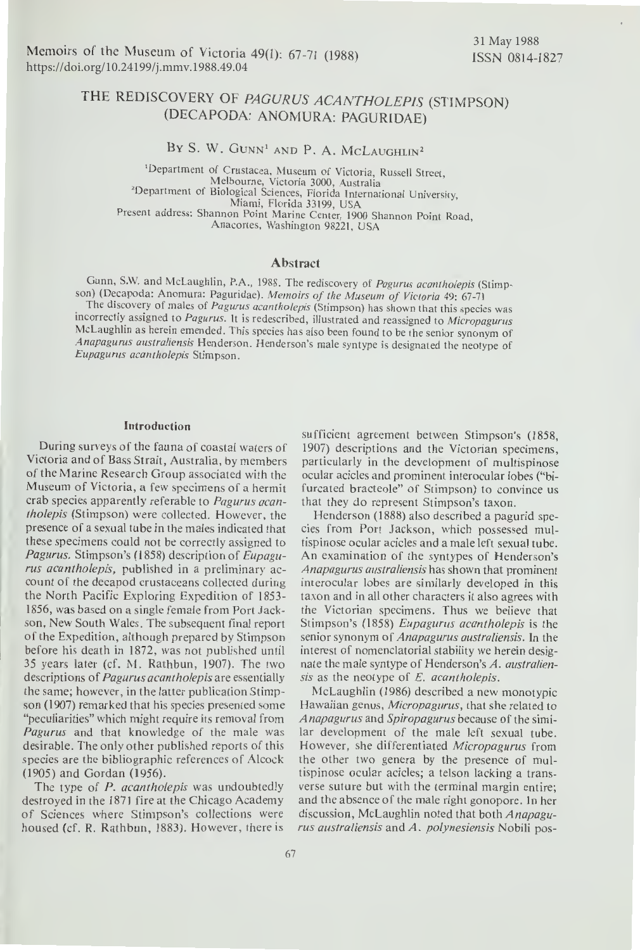# THE REDISCOVERY OF PAGURUS ACANTHOLEPIS (STIMPSON) (DECAPODA: ANOMURA: PAGURIDAE)

BY S. W. GUNN<sup>1</sup> AND P. A. MCLAUGHLIN<sup>2</sup>

"Department of Crustacea, Museum of Victoria, Russell Street, Melbourne, Victoria 3000, Australia<br>Pepartment of Biological Sciences, Florida International University, Miami, Florida 33199, USA Present address: Shannon Point Marine Center, 1900 Shannon Point Road, Anacortes, Washington 98221, USA

## Abstract

Gunn, S.W. and McLaughlin, P.A., 1988. The rediscovery of Pagurus acantholepis (Stimpson) (Decapoda: Anomura: Paguridae). Memoirs of the Museum of Victoria 49: 67-71 The discovery of males of Pagurus acantholepis (Stimpson) has shown that this species was incorrectly assigned to Pagurus. It is redescribed, illustrated and reassigned to Micropagurus McLaughlin as herein emended. This species has also been found to be the senior synonym of Anapagurus australiensis Henderson. Henderson's male syntype is designated the neotype of Eupagurus acantholepis Stimpson.

## Introduction

During surveys of the fauna of coastal waters of Victoria and of Bass Strait, Australia, by members of the Marine Research Group associated with the Museum of Victoria, a few specimens of a hermit crab species apparently referable to Pagurus acantholepis (Stimpson) were collected. However, the presence of a sexual tube in the males indicated that these specimens could not be correctly assigned to Pagurus. Stimpson's (1858) description of Eupagurus acantholepis, published in a preliminary ac count of the decapod crustaceans collected during the North Pacific Exploring Expedition of 1853- 1856, was based on <sup>a</sup> single female from Port Jackson, New South Wales. The subsequent final report of the Expedition, although prepared by Stimpson before his death in 1872, was not published until <sup>35</sup> years later (cf. M. Rathbun, 1907). The two descriptions of *Pagurus acantholepis* are essentially the same; however, in the latter publication Stimpson (1907) remarked that his species presented some "peculiarities" which might require its removal from Pagurus and that knowledge of the male was desirable. The only other published reports of this species are the bibliographic references of Alcock (1905) and Gordan (1956).

The type of P. acantholepis was undoubtedly destroyed in the <sup>1871</sup> fire at the Chicago Academy of Sciences where Stimpson's collections were housed (cf. R. Rathbun, 1883). However, there is

sufficient agreement between Stimpson's (1858, 1907) descriptions and the Victorian specimens, particularly in the development of multispinose ocular acicles and prominent interocular lobes ("bi furcated bracteole" of Stimpson) to convince us that they do represent Stimpson's taxon.

Henderson (1888) also described <sup>a</sup> pagurid species from Port Jackson, which possessed multispinose ocular acicles and a male left sexual tube. An examination of the syntypes of Henderson's Anapagurus australiensis has shown that prominent interocular lobes are similarly developed in this taxon and in all other characters it also agrees with the Victorian specimens. Thus we believe that Stimpson's (1858) Eupagurus acantholepis is the senior synonym of Anapagurus australiensis. In the interest of nomenclatorial stability we herein designate the male syntype of Henderson's A. australiensis as the neotype of  $E$ . acantholepis.

McLaughlin (1986) described <sup>a</sup> new monotypic Hawaiian genus, Micropagurus, that she related to Anapagurus and Spiropagurus because of the similar development of the male left sexual tube. However, she differentiated Micropagurus from the other two genera by the presence of multispinose ocular acicles; a telson lacking a transverse suture but with the terminal margin entire; and the absence of the male right gonopore. In her discussion, McLaughlin noted that both Anapagurus australiensis and A. polynesiensis Nobili pos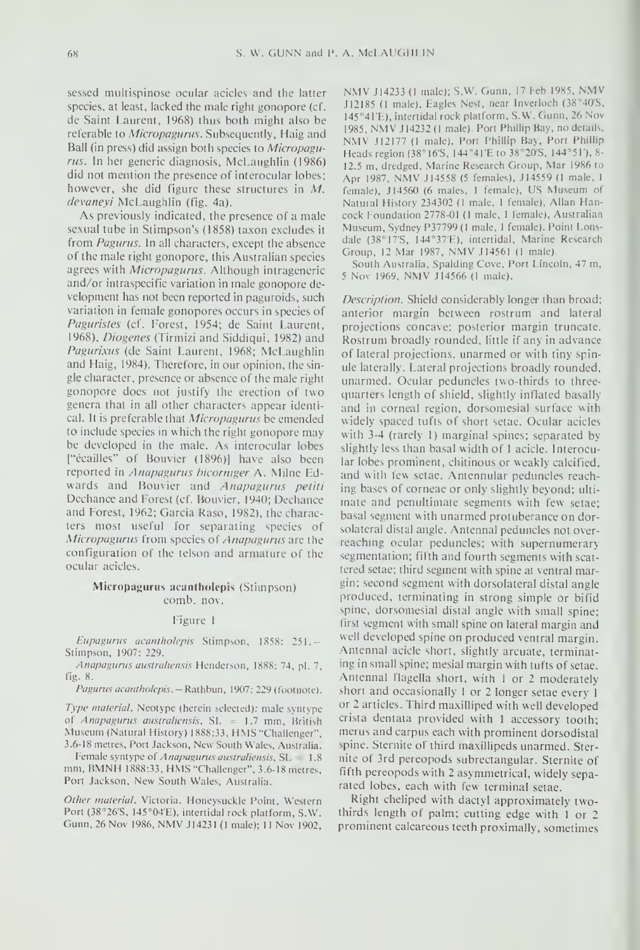sessed multispinose ocular acicles and the latter species, at least, lacked the male right gonopore (cf. referable to Micropagurus. Subsequently, Haig and Ball (in press) did assign both species to Micropagurus. In her generic diagnosis, McLaughlin (1986) did not mention the presence of interocular lobes; however, she did figure these structures in M. devaneyi McLaughlin (fig. 4a).

As previously indicated, the presence of a male sexual tube in Stimpson's (1858) taxon excludes itfrom Pagurus. In all characters, except the absence of the male right gonopore, this Australian species agrees with Micropagurus. Although intrageneric and/or intraspecific variation in male gonopore de velopment has not been reported in paguroids, such variation in female gonopores occurs in species of Paguristes (cf. forest, 1954; de Saint Laurent, 1968), *Diogenes* (Tirmizi and Siddiqui, 1982) and Pagurixus (de Saint Laurent, 1968; McLaughlin and Haig, 1984). Therefore, in our opinion, the sin gle character, presence or absence of the male right gonopore does not justify the erection of two genera that in all other characters appear identical. It is preferable that *Micropagurus* be emended to include species in which the right gonopore may be developed in the male. As interocular lobes ["ecailles" of Bouvier (1896)] have also been reported in Anapagurus bicormger A. Milne Edwards and Bouvier and Anapagurus petiti Dechance and Forest (cf. Bouvier, 1940; Dechance and Forest, 1962; Garcia Raso, 1982), the characters most useful for separating species of Micropagurus from species of Anapagurus are the configuration of the telson and armature of the ocular acicles.

## Micropagurus acantbolepis (Stimpson) comb. nov.

#### figure <sup>1</sup>

Eupagurus acantholepis Stimpson, 1858: 251.-Stimpson, 1907: 229.

Anapagurus australiensis Henderson, 1888: 74, pl. 7, Fig, S.

Pagurus acantholepis. - Rathbun, 1907: 229 (footnote).

Type material. Neotype (herein selected): male syntype of Anapagurus australiensis,  $SL = 1.7$  mm, British Museum (Natural History) 1888:33, HMS "Challenger", 3.6-18 metres, Port Jackson, New South Wales. Australia.

Female syntype of Anapagurus australiensis, SL 1.8 mm, BMNH 1888:33, HMS "Challenger", 3.6-18 metres, Port Jackson, New South Wales, Australia.

Other material. Victoria. Honeysuckle Point, Western Port (38°26'S, I45°04'E), intertidal rock platform, S.W. Gunn, 26 Nov 1986, NMV J14231 (1 male); 11 Nov 1902,

de Saint Laurent, 1968) thus both might also be 145°41'E), intertidal rock platform, S.W. Guint, 20 Nov<br>referable to Microngaurus, Subcommitty, Hois and 1985, NMV J14232 (1 male). Port Phillip Bay, no details, NMV J14233 (1 male); S.W. Gunn, 17 Feb 1985, NMV 112185 (1 nude). Eagles Nest, near Invcrloch (38 40'S. 145°41'E), intertidal rock platform, S.W. Gunn, 26 Nov NMV J12177 (1 male). Port Phillip Bay, Port Phillip Heads region (38°16'S, 144°41'E to 38°20'S, 144°51'), 8-12.5 m, dredged, Marine Research Group, Mar 1986 to Apr 1987, NMV J14558 (5 females), H4559 (l male, <sup>I</sup> female), J14560 (6 males, 1 female), US Museum of Natural History 234302 (1 male, 1 female), Allan Hancock Foundation 2778-01 (I male, <sup>1</sup> female), Australian Museum, Sydney P37799 (1 male, 1 female). Point Lonsdale (38°17'S, 144°37'E), intertidal, Marine Research Group, 12 Mar 1987, NMV J14561 (1 male)

South Australia, Spalding Cove, Port Lincoln, 47 m, <sup>5</sup> Nov 1969, NMV <sup>114566</sup> (I male).

Description. Shield considerably longer than broad; anterior margin between rostrum and lateral projections concave; posterior margin truncate. Rostrum broadly rounded, little if any in advance of lateral projections, unarmed or with tiny spinule laterally. Lateral projections broadly rounded, unarmed. Ocular peduncles two-thirds to three quarters length of shield, slightly inflated basally and in corneal region, dorsomesial surface with widely spaced tufts of short setae. Ocular acicles with 3-4 (rarely I) marginal spines; separated by slightly less than basal width of <sup>1</sup> acicle. Interocular lobes prominent, chitinous or weakly calcified, and with few setae. Antennular peduncles reaching bases of corneae or only slightly beyond; ultimate and penultimate segments with few setae; basal segment with unarmed protuberance on dorsolateral distal angle. Antennal peduncles not overreaching ocular peduncles; with supernumerary segmentation; fifth and fourth segments with scat tered setae; third segment with spine at ventral margin; second segment with dorsolateral distal angle produced, terminating in strong simple or bifid spine, dorsomesial distal angle with small spine; first segment with small spine on lateral margin and well developed spine on produced ventral margin. Antennal acicle short, slightly arcuate, terminating in small spine; mesial margin with tufts of setae. Antennal flagella short, with <sup>1</sup> or <sup>2</sup> moderately short and occasionally <sup>1</sup> or <sup>2</sup> longer setae every <sup>1</sup> or 2 articles. Third maxilliped with well developed crista dentata provided with <sup>1</sup> accessory tooth; merus and carpus each with prominent dorsodistal spine. Sternite of third maxillipeds unarmed. Sternite of 3rd pereopods subrectangular. Sternite of fifth pereopods with <sup>2</sup> asymmetrical, widely separated lobes, each with few terminal setae.

Right cheliped with dactyl approximately twothirds length of palm; cutting edge with <sup>1</sup> or <sup>2</sup> prominent calcareous teeth proximally, sometimes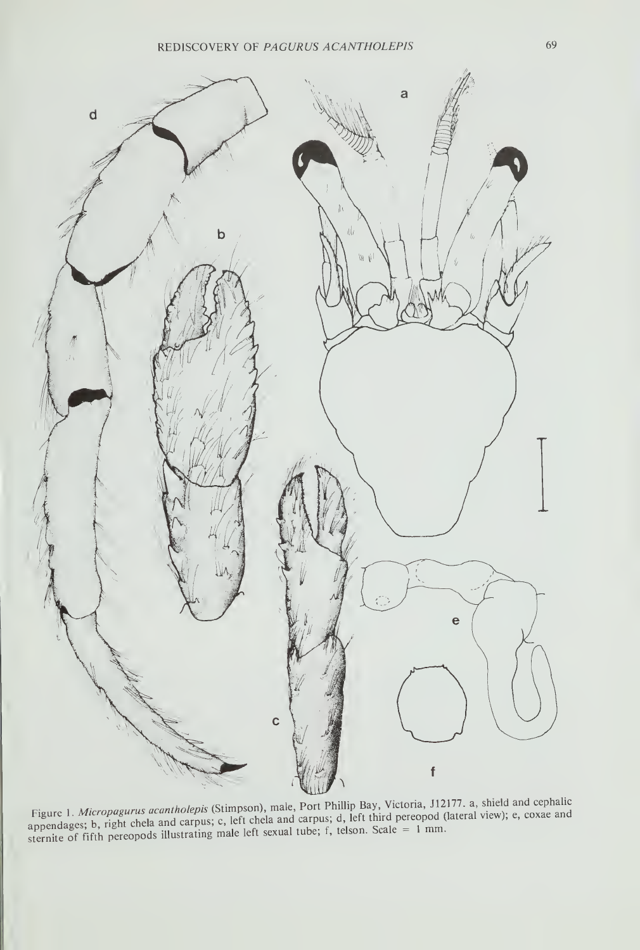

Figure 1. Micropagurus acantholepis (Stimpson), male, Port Phillip Bay, Victoria, J12177. a, shield and cephalic appendages; b, right chela and carpus; c, left chela and carpus; d, left third pereopod (lateral view); e, co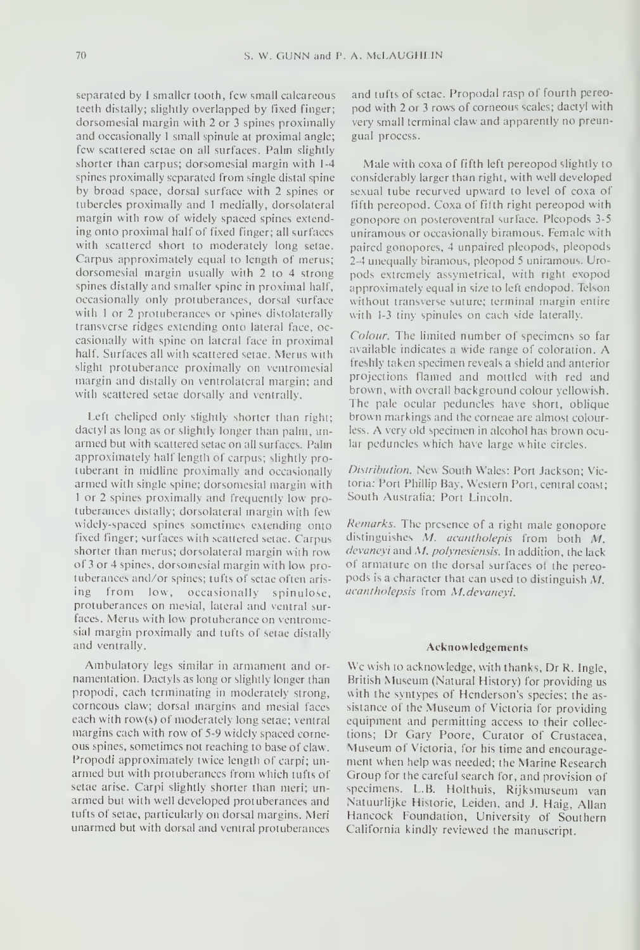separated by I smaller tooth, few small calcareous teeth distally; slightly overlapped by fixed finger; dorsomesial margin with 2 or 3 spines proximally and occasionally <sup>1</sup> small spinule at proximal angle; few scattered sctae on all surfaces. Palm slightly shorter than carpus; dorsomesial margin with 1-4 spines proximally separated from single distal spine by broad space, dorsal surface with 2 spines or tubercles proximally and <sup>1</sup> medially, dorsolateral margin with row of widely spaced spines extending onto proximal half of fixed finger; all surfaces with scattered short to moderately long setae. Carpus approximately equal to length of merus; dorsomesial margin usually with 2 to 4 strong spines distally and smaller spine in proximal half, occasionally only protuberances, dorsal surface with 1 or 2 protuberances or spines distolaterally transverse ridges extending onto lateral face, oc casionally with spine on lateral face in proximal half. Surfaces all with scattered setae. Merus with slight protuberance proximally on ventromesial margin and distally on ventrolateral margin; and with scattered setae dorsally and ventrally.

Left cheliped only sfightly shorter than right; dactyl as long as or slightly longer than palm, unarmed but with scattered setac on all surfaces. Palm approximately half length of carpus; slightly pro tuberant in midline proximally and occasionally armed with single spine; dorsomesial margin with 1 or 2 spines proximally and frequently low protuberances distally; dorsolateral margin with Few widely-spaced spines sometimes extending onto fixed finger; surfaces with scattered setae. Carpus shorter than merus; dorsolateral margin with row of <sup>3</sup> or 4 spines, dorsomesial margin with low pro tuberances and/or spines; tufts of setae often arising from low, occasionally spinulose, protuberances on mesial, lateral and ventral sur faces. Merus with low protuberance on ventromesial margin proximally and tufts of setae distally and ventrally.

Ambulatory legs similar in armament and ornamentation. Dactyls as long or slightly longer than propodi, each terminating in moderatclv strong, corneous claw; dorsal margins and mesial faces each with row(s) of moderately long setae; ventral margins each with row of 5-9 widely spaced corne ous spines, sometimes not reaching to base of claw . Propodi approximately twice length of carpi; un armed but with protuberances from which tufts of setae arise. Carpi slightly shorter than meri; un armed but with well developed protuberances and tufts of setae, particularly on dorsal margins. Meri unarmed but with dorsal and ventral protuberances

and tufts of sctac. Propodal rasp of fourth pereopod with <sup>2</sup> or <sup>3</sup> rows of corneous scales; dactyl with very small terminal claw and apparently no preungual process.

Male with coxa of fifth left pereopod slightly to considerably larger than right, with well developed sexual tube recurved upward to level of coxa of Fifth pereopod. Coxa of fifth right pereopod with gonopore on posteroventral surlace. Pleopods 3-5 uniramous or occasionally biramous. Female with paired gonopores, <sup>4</sup> unpaired pleopods, pleopods 2-4 unequally biramous, pleopod 5 uniramous. Uropods extremely assymetrical. with right exopod approximately equal in size to left endopod. Telson without transverse suture; terminal margin entire with 1-3 tiny spinules on each side laterally.

Colour. The limited number of specimens so far available indicates <sup>a</sup> wide range of coloration. A freshly taken specimen reveals a shield and anterior projections flamed and mottled with red and brown, with overall background colour yellowish. The pale ocular peduncles have short, oblique brown markings and the corneae are almost colourless. A very old specimen in alcohol has brown ocular peduncles which have large white circles.

Distribution. New South Wales: Pott Jackson: Victoria; Port Phillip Bay, Western Port, central coast; South Australia: Port Lincoln.

Remarks. The presence of a right male gonopore distinguishes M. acantholepis from both M. devaneyi and M. polynesiensis. In addition, the lack of armature on the dorsal surfaces of the pereopods is <sup>a</sup> character that can used to distinguish M. acantholepsis from M.devaneyi.

### Acknowledgements

We wish to acknowledge, with thanks, Dr R. Ingle, British Museum (Natural History) for providing us with the syntypes of Henderson's species; the assistance of the Museum of Victoria for providing equipment and permitting access to their collections; Dr Gary Poore. Curator of Crustacea, Museum of Victoria, for his time and encourage ment when help was needed; the Marine Research Group for the careful search for, and provision of specimens. L.B. Holthuis, Rijksmuseum van Natuurlijke Historic, Leiden, and J. Haig, Allan Hancock Foundation, University of Southern California kindly reviewed the manuscript.